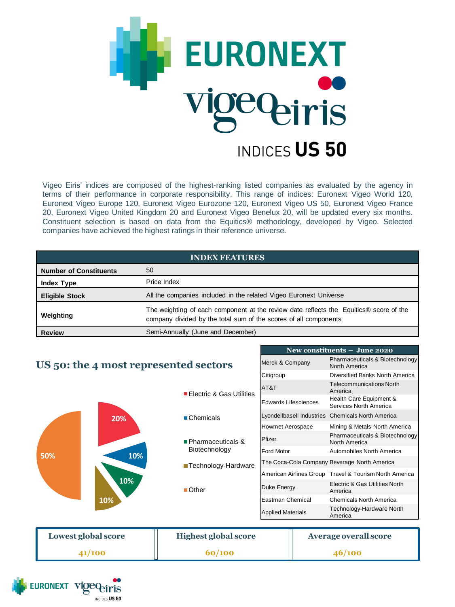

Vigeo Eiris' indices are composed of the highest-ranking listed companies as evaluated by the agency in terms of their performance in corporate responsibility. This range of indices: Euronext Vigeo World 120, Euronext Vigeo Europe 120, Euronext Vigeo Eurozone 120, Euronext Vigeo US 50, Euronext Vigeo France 20, Euronext Vigeo United Kingdom 20 and Euronext Vigeo Benelux 20, will be updated every six months. Constituent selection is based on data from the Equitics® methodology, developed by Vigeo. Selected companies have achieved the highest ratings in their reference universe.

| <b>INDEX FEATURES</b> |  |  |
|-----------------------|--|--|
|                       |  |  |
|                       |  |  |

| <b>Number of Constituents</b> | 50                                                                                                                                                         |
|-------------------------------|------------------------------------------------------------------------------------------------------------------------------------------------------------|
| <b>Index Type</b>             | Price Index                                                                                                                                                |
| <b>Eligible Stock</b>         | All the companies included in the related Vigeo Euronext Universe                                                                                          |
| Weighting                     | The weighting of each component at the review date reflects the Equitics® score of the<br>company divided by the total sum of the scores of all components |
| <b>Review</b>                 | Semi-Annually (June and December)                                                                                                                          |

**New constituents – June 2020** Merck & Company Pharmaceuticals & Biotechnology North America Citigroup Diversified Banks North America

## **US 50: the 4 most represented sectors**

|                     | ■ Electric & Gas Utilities  | AT&T                     |                           | <b>Telecommunications North</b><br>America             |
|---------------------|-----------------------------|--------------------------|---------------------------|--------------------------------------------------------|
| 20%                 |                             | Edwards Lifesciences     |                           | Health Care Equipment &<br>Services North America      |
|                     | ■ Chemicals                 |                          | Lyondellbasell Industries | <b>Chemicals North America</b>                         |
|                     |                             | Howmet Aerospace         |                           | Mining & Metals North America                          |
|                     | ■ Pharmaceuticals &         | Pfizer                   |                           | Pharmaceuticals & Biotechnology<br>North America       |
| 10%<br>50%          | Biotechnology               | Ford Motor               |                           | Automobiles North America                              |
| 10%                 | ■ Technology-Hardware       |                          |                           | The Coca-Cola Company Beverage North America           |
|                     |                             |                          |                           | American Airlines Group Travel & Tourism North America |
|                     | $\blacksquare$ Other        | Duke Energy              |                           | Electric & Gas Utilities North<br>America              |
| 10%                 |                             | Eastman Chemical         |                           | <b>Chemicals North America</b>                         |
|                     |                             | <b>Applied Materials</b> |                           | Technology-Hardware North<br>America                   |
|                     |                             |                          |                           |                                                        |
| Lowest global score | <b>Highest global score</b> |                          |                           | <b>Average overall score</b>                           |
| 41/100              | 60/100                      |                          |                           | 46/100                                                 |
|                     |                             |                          |                           |                                                        |

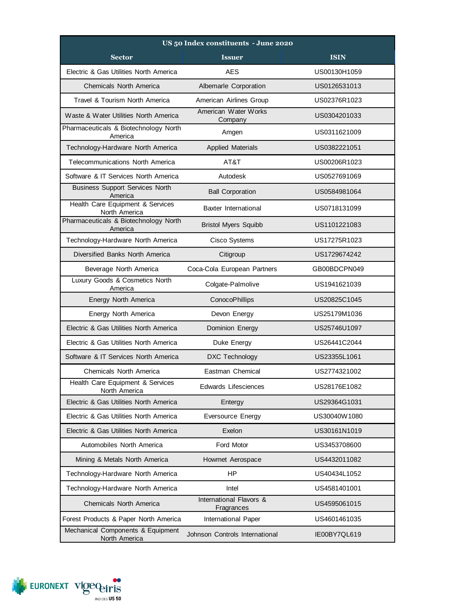| US 50 Index constituents - June 2020               |                                       |              |  |  |
|----------------------------------------------------|---------------------------------------|--------------|--|--|
| <b>Sector</b>                                      | <b>Issuer</b>                         | <b>ISIN</b>  |  |  |
| Electric & Gas Utilities North America             | <b>AES</b>                            | US00130H1059 |  |  |
| <b>Chemicals North America</b>                     | Albemarle Corporation                 | US0126531013 |  |  |
| Travel & Tourism North America                     | American Airlines Group               | US02376R1023 |  |  |
| Waste & Water Utilities North America              | American Water Works<br>Company       | US0304201033 |  |  |
| Pharmaceuticals & Biotechnology North<br>America   | Amgen                                 | US0311621009 |  |  |
| Technology-Hardware North America                  | <b>Applied Materials</b>              | US0382221051 |  |  |
| <b>Telecommunications North America</b>            | AT&T                                  | US00206R1023 |  |  |
| Software & IT Services North America               | Autodesk                              | US0527691069 |  |  |
| <b>Business Support Services North</b><br>America  | <b>Ball Corporation</b>               | US0584981064 |  |  |
| Health Care Equipment & Services<br>North America  | Baxter International                  | US0718131099 |  |  |
| Pharmaceuticals & Biotechnology North<br>America   | <b>Bristol Myers Squibb</b>           | US1101221083 |  |  |
| Technology-Hardware North America                  | Cisco Systems                         | US17275R1023 |  |  |
| Diversified Banks North America                    | Citigroup                             | US1729674242 |  |  |
| Beverage North America                             | Coca-Cola European Partners           | GB00BDCPN049 |  |  |
| Luxury Goods & Cosmetics North<br>America          | Colgate-Palmolive                     | US1941621039 |  |  |
| Energy North America                               | ConocoPhillips                        | US20825C1045 |  |  |
| Energy North America                               | Devon Energy                          | US25179M1036 |  |  |
| Electric & Gas Utilities North America             | Dominion Energy                       | US25746U1097 |  |  |
| Electric & Gas Utilities North America             | Duke Energy                           | US26441C2044 |  |  |
| Software & IT Services North America               | DXC Technology                        | US23355L1061 |  |  |
| Chemicals North America                            | Eastman Chemical                      | US2774321002 |  |  |
| Health Care Equipment & Services<br>North America  | Edwards Lifesciences                  | US28176E1082 |  |  |
| Electric & Gas Utilities North America             | Entergy                               | US29364G1031 |  |  |
| Electric & Gas Utilities North America             | Eversource Energy                     | US30040W1080 |  |  |
| Electric & Gas Utilities North America             | Exelon                                | US30161N1019 |  |  |
| Automobiles North America                          | Ford Motor                            | US3453708600 |  |  |
| Mining & Metals North America                      | Howmet Aerospace                      | US4432011082 |  |  |
| Technology-Hardware North America                  | <b>HP</b>                             | US40434L1052 |  |  |
| Technology-Hardware North America                  | Intel                                 | US4581401001 |  |  |
| Chemicals North America                            | International Flavors &<br>Fragrances | US4595061015 |  |  |
| Forest Products & Paper North America              | International Paper                   | US4601461035 |  |  |
| Mechanical Components & Equipment<br>North America | Johnson Controls International        | IE00BY7QL619 |  |  |